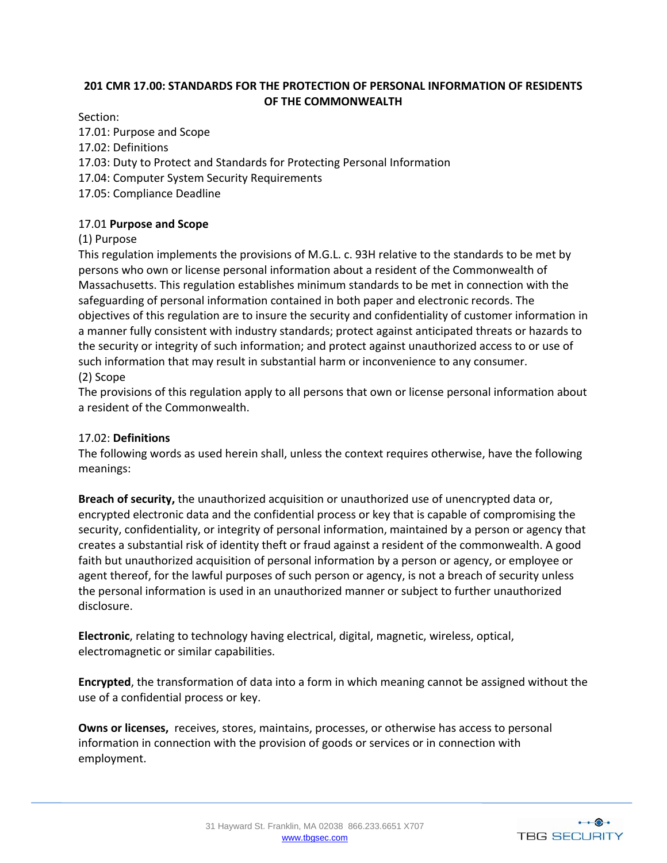# **201 CMR 17.00: STANDARDS FOR THE PROTECTION OF PERSONAL INFORMATION OF RESIDENTS OF THE COMMONWEALTH**

Section:

17.01: Purpose and Scope 17.02: Definitions 17.03: Duty to Protect and Standards for Protecting Personal Information 17.04: Computer System Security Requirements 17.05: Compliance Deadline

## 17.01 **Purpose and Scope**

## (1) Purpose

This regulation implements the provisions of M.G.L. c. 93H relative to the standards to be met by persons who own or license personal information about a resident of the Commonwealth of Massachusetts. This regulation establishes minimum standards to be met in connection with the safeguarding of personal information contained in both paper and electronic records. The objectives of this regulation are to insure the security and confidentiality of customer information in a manner fully consistent with industry standards; protect against anticipated threats or hazards to the security or integrity of such information; and protect against unauthorized access to or use of such information that may result in substantial harm or inconvenience to any consumer. (2) Scope

The provisions of this regulation apply to all persons that own or license personal information about a resident of the Commonwealth.

#### 17.02: **Definitions**

The following words as used herein shall, unless the context requires otherwise, have the following meanings:

**Breach of security,** the unauthorized acquisition or unauthorized use of unencrypted data or, encrypted electronic data and the confidential process or key that is capable of compromising the security, confidentiality, or integrity of personal information, maintained by a person or agency that creates a substantial risk of identity theft or fraud against a resident of the commonwealth. A good faith but unauthorized acquisition of personal information by a person or agency, or employee or agent thereof, for the lawful purposes of such person or agency, is not a breach of security unless the personal information is used in an unauthorized manner or subject to further unauthorized disclosure.

**Electronic**, relating to technology having electrical, digital, magnetic, wireless, optical, electromagnetic or similar capabilities.

**Encrypted**, the transformation of data into a form in which meaning cannot be assigned without the use of a confidential process or key.

**Owns or licenses,** receives, stores, maintains, processes, or otherwise has access to personal information in connection with the provision of goods or services or in connection with employment.

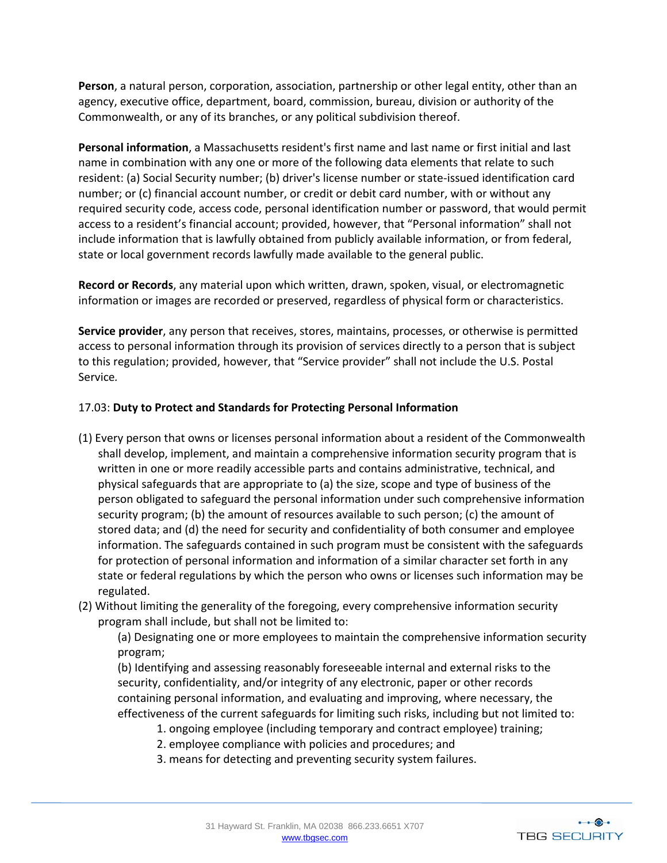**Person**, a natural person, corporation, association, partnership or other legal entity, other than an agency, executive office, department, board, commission, bureau, division or authority of the Commonwealth, or any of its branches, or any political subdivision thereof.

**Personal information**, a Massachusetts resident's first name and last name or first initial and last name in combination with any one or more of the following data elements that relate to such resident: (a) Social Security number; (b) driver's license number or state‐issued identification card number; or (c) financial account number, or credit or debit card number, with or without any required security code, access code, personal identification number or password, that would permit access to a resident's financial account; provided, however, that "Personal information" shall not include information that is lawfully obtained from publicly available information, or from federal, state or local government records lawfully made available to the general public.

**Record or Records**, any material upon which written, drawn, spoken, visual, or electromagnetic information or images are recorded or preserved, regardless of physical form or characteristics.

**Service provider**, any person that receives, stores, maintains, processes, or otherwise is permitted access to personal information through its provision of services directly to a person that is subject to this regulation; provided, however, that "Service provider" shall not include the U.S. Postal Service.

# 17.03: **Duty to Protect and Standards for Protecting Personal Information**

- (1) Every person that owns or licenses personal information about a resident of the Commonwealth shall develop, implement, and maintain a comprehensive information security program that is written in one or more readily accessible parts and contains administrative, technical, and physical safeguards that are appropriate to (a) the size, scope and type of business of the person obligated to safeguard the personal information under such comprehensive information security program; (b) the amount of resources available to such person; (c) the amount of stored data; and (d) the need for security and confidentiality of both consumer and employee information. The safeguards contained in such program must be consistent with the safeguards for protection of personal information and information of a similar character set forth in any state or federal regulations by which the person who owns or licenses such information may be regulated.
- (2) Without limiting the generality of the foregoing, every comprehensive information security program shall include, but shall not be limited to:

(a) Designating one or more employees to maintain the comprehensive information security program;

(b) Identifying and assessing reasonably foreseeable internal and external risks to the security, confidentiality, and/or integrity of any electronic, paper or other records containing personal information, and evaluating and improving, where necessary, the effectiveness of the current safeguards for limiting such risks, including but not limited to:

- 1. ongoing employee (including temporary and contract employee) training;
- 2. employee compliance with policies and procedures; and
- 3. means for detecting and preventing security system failures.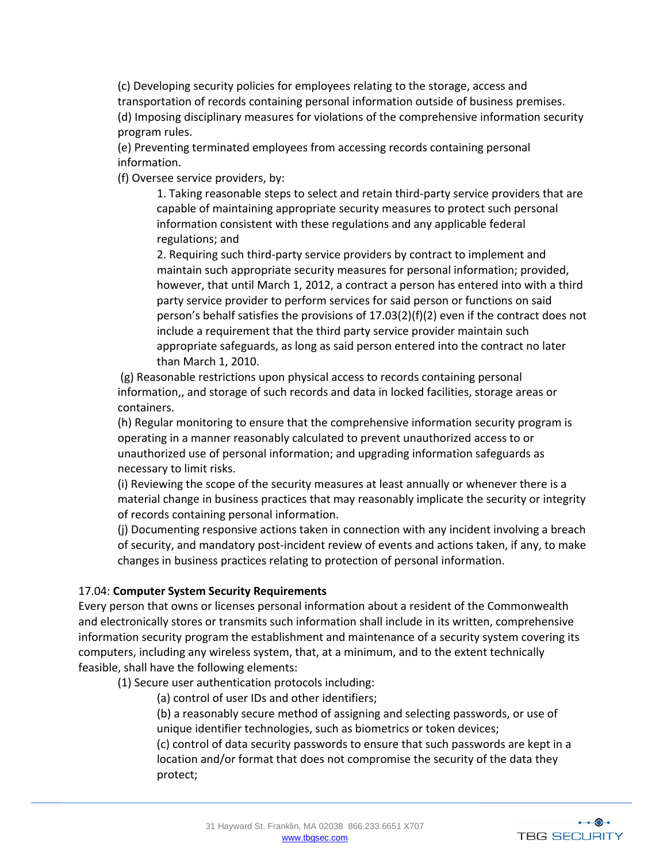(c) Developing security policies for employees relating to the storage, access and transportation of records containing personal information outside of business premises. (d) Imposing disciplinary measures for violations of the comprehensive information security program rules.

(e) Preventing terminated employees from accessing records containing personal information.

(f) Oversee service providers, by:

1. Taking reasonable steps to select and retain third‐party service providers that are capable of maintaining appropriate security measures to protect such personal information consistent with these regulations and any applicable federal regulations; and

2. Requiring such third‐party service providers by contract to implement and maintain such appropriate security measures for personal information; provided, however, that until March 1, 2012, a contract a person has entered into with a third party service provider to perform services for said person or functions on said person's behalf satisfies the provisions of  $17.03(2)(f)(2)$  even if the contract does not include a requirement that the third party service provider maintain such appropriate safeguards, as long as said person entered into the contract no later than March 1, 2010.

(g) Reasonable restrictions upon physical access to records containing personal information,, and storage of such records and data in locked facilities, storage areas or containers.

(h) Regular monitoring to ensure that the comprehensive information security program is operating in a manner reasonably calculated to prevent unauthorized access to or unauthorized use of personal information; and upgrading information safeguards as necessary to limit risks.

(i) Reviewing the scope of the security measures at least annually or whenever there is a material change in business practices that may reasonably implicate the security or integrity of records containing personal information.

(j) Documenting responsive actions taken in connection with any incident involving a breach of security, and mandatory post‐incident review of events and actions taken, if any, to make changes in business practices relating to protection of personal information.

# 17.04: **Computer System Security Requirements**

Every person that owns or licenses personal information about a resident of the Commonwealth and electronically stores or transmits such information shall include in its written, comprehensive information security program the establishment and maintenance of a security system covering its computers, including any wireless system, that, at a minimum, and to the extent technically feasible, shall have the following elements:

(1) Secure user authentication protocols including:

(a) control of user IDs and other identifiers;

(b) a reasonably secure method of assigning and selecting passwords, or use of unique identifier technologies, such as biometrics or token devices;

(c) control of data security passwords to ensure that such passwords are kept in a location and/or format that does not compromise the security of the data they protect;